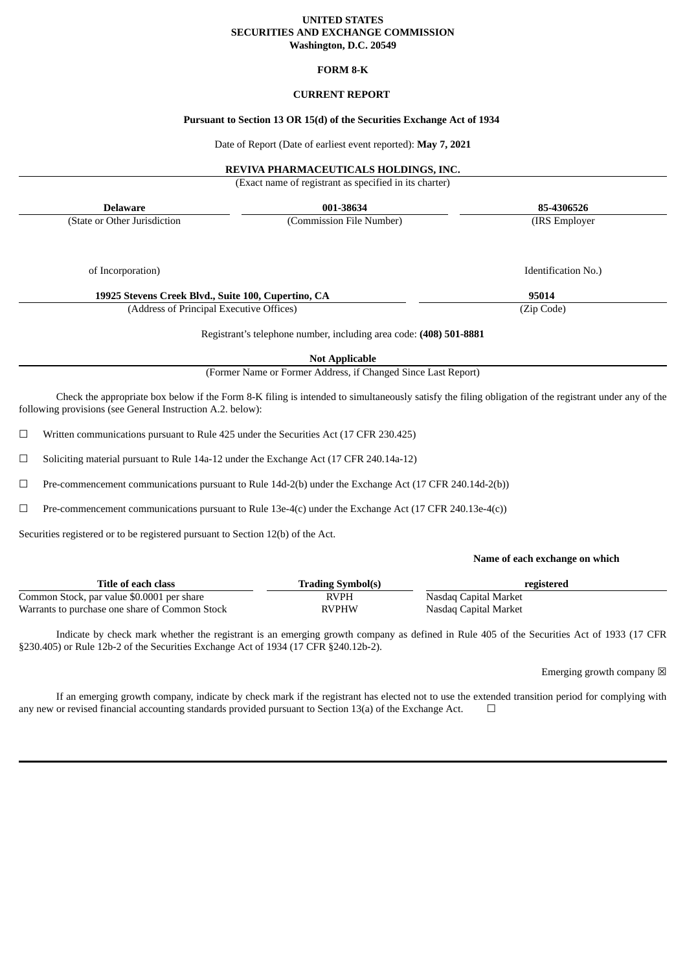## **UNITED STATES SECURITIES AND EXCHANGE COMMISSION Washington, D.C. 20549**

## **FORM 8-K**

# **CURRENT REPORT**

## **Pursuant to Section 13 OR 15(d) of the Securities Exchange Act of 1934**

Date of Report (Date of earliest event reported): **May 7, 2021**

# **REVIVA PHARMACEUTICALS HOLDINGS, INC.**

(Exact name of registrant as specified in its charter)

**Delaware 001-38634 85-4306526**

(State or Other Jurisdiction

(Commission File Number) (IRS Employer

Identification No.)

of Incorporation)

**19925 Stevens Creek Blvd., Suite 100, Cupertino, CA 95014**

(Address of Principal Executive Offices) (Zip Code)

Registrant's telephone number, including area code: **(408) 501-8881**

**Not Applicable**

(Former Name or Former Address, if Changed Since Last Report)

Check the appropriate box below if the Form 8-K filing is intended to simultaneously satisfy the filing obligation of the registrant under any of the following provisions (see General Instruction A.2. below):

☐ Written communications pursuant to Rule 425 under the Securities Act (17 CFR 230.425)

 $\Box$  Soliciting material pursuant to Rule 14a-12 under the Exchange Act (17 CFR 240.14a-12)

☐ Pre-commencement communications pursuant to Rule 14d-2(b) under the Exchange Act (17 CFR 240.14d-2(b))

☐ Pre-commencement communications pursuant to Rule 13e-4(c) under the Exchange Act (17 CFR 240.13e-4(c))

Securities registered or to be registered pursuant to Section 12(b) of the Act.

#### **Name of each exchange on which**

| Title of each class                            | <b>Trading Symbol(s)</b> | registered            |
|------------------------------------------------|--------------------------|-----------------------|
| Common Stock, par value \$0.0001 per share     | <b>RVPH</b>              | Nasdag Capital Market |
| Warrants to purchase one share of Common Stock | RVPHW                    | Nasdaq Capital Market |

Indicate by check mark whether the registrant is an emerging growth company as defined in Rule 405 of the Securities Act of 1933 (17 CFR §230.405) or Rule 12b-2 of the Securities Exchange Act of 1934 (17 CFR §240.12b-2).

Emerging growth company  $\boxtimes$ 

If an emerging growth company, indicate by check mark if the registrant has elected not to use the extended transition period for complying with any new or revised financial accounting standards provided pursuant to Section 13(a) of the Exchange Act.  $\Box$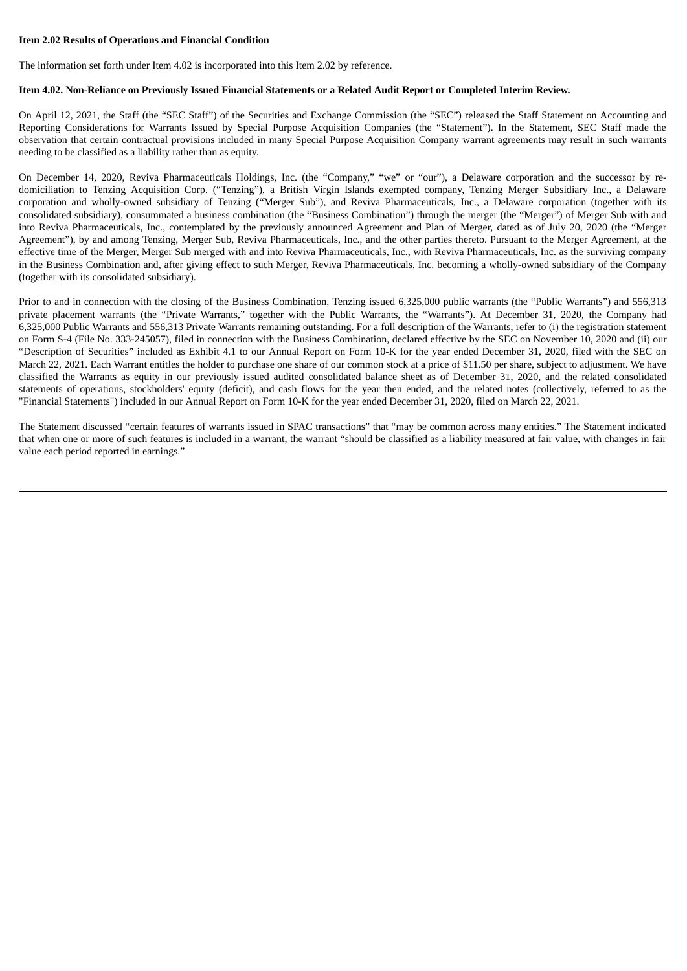## **Item 2.02 Results of Operations and Financial Condition**

The information set forth under Item 4.02 is incorporated into this Item 2.02 by reference.

### Item 4.02. Non-Reliance on Previously Issued Financial Statements or a Related Audit Report or Completed Interim Review.

On April 12, 2021, the Staff (the "SEC Staff") of the Securities and Exchange Commission (the "SEC") released the Staff Statement on Accounting and Reporting Considerations for Warrants Issued by Special Purpose Acquisition Companies (the "Statement"). In the Statement, SEC Staff made the observation that certain contractual provisions included in many Special Purpose Acquisition Company warrant agreements may result in such warrants needing to be classified as a liability rather than as equity.

On December 14, 2020, Reviva Pharmaceuticals Holdings, Inc. (the "Company," "we" or "our"), a Delaware corporation and the successor by redomiciliation to Tenzing Acquisition Corp. ("Tenzing"), a British Virgin Islands exempted company, Tenzing Merger Subsidiary Inc., a Delaware corporation and wholly-owned subsidiary of Tenzing ("Merger Sub"), and Reviva Pharmaceuticals, Inc., a Delaware corporation (together with its consolidated subsidiary), consummated a business combination (the "Business Combination") through the merger (the "Merger") of Merger Sub with and into Reviva Pharmaceuticals, Inc., contemplated by the previously announced Agreement and Plan of Merger, dated as of July 20, 2020 (the "Merger Agreement"), by and among Tenzing, Merger Sub, Reviva Pharmaceuticals, Inc., and the other parties thereto. Pursuant to the Merger Agreement, at the effective time of the Merger, Merger Sub merged with and into Reviva Pharmaceuticals, Inc., with Reviva Pharmaceuticals, Inc. as the surviving company in the Business Combination and, after giving effect to such Merger, Reviva Pharmaceuticals, Inc. becoming a wholly-owned subsidiary of the Company (together with its consolidated subsidiary).

Prior to and in connection with the closing of the Business Combination, Tenzing issued 6,325,000 public warrants (the "Public Warrants") and 556,313 private placement warrants (the "Private Warrants," together with the Public Warrants, the "Warrants"). At December 31, 2020, the Company had 6,325,000 Public Warrants and 556,313 Private Warrants remaining outstanding. For a full description of the Warrants, refer to (i) the registration statement on Form S-4 (File No. 333-245057), filed in connection with the Business Combination, declared effective by the SEC on November 10, 2020 and (ii) our "Description of Securities" included as Exhibit 4.1 to our Annual Report on Form 10-K for the year ended December 31, 2020, filed with the SEC on March 22, 2021. Each Warrant entitles the holder to purchase one share of our common stock at a price of \$11.50 per share, subject to adjustment. We have classified the Warrants as equity in our previously issued audited consolidated balance sheet as of December 31, 2020, and the related consolidated statements of operations, stockholders' equity (deficit), and cash flows for the year then ended, and the related notes (collectively, referred to as the "Financial Statements") included in our Annual Report on Form 10-K for the year ended December 31, 2020, filed on March 22, 2021.

The Statement discussed "certain features of warrants issued in SPAC transactions" that "may be common across many entities." The Statement indicated that when one or more of such features is included in a warrant, the warrant "should be classified as a liability measured at fair value, with changes in fair value each period reported in earnings."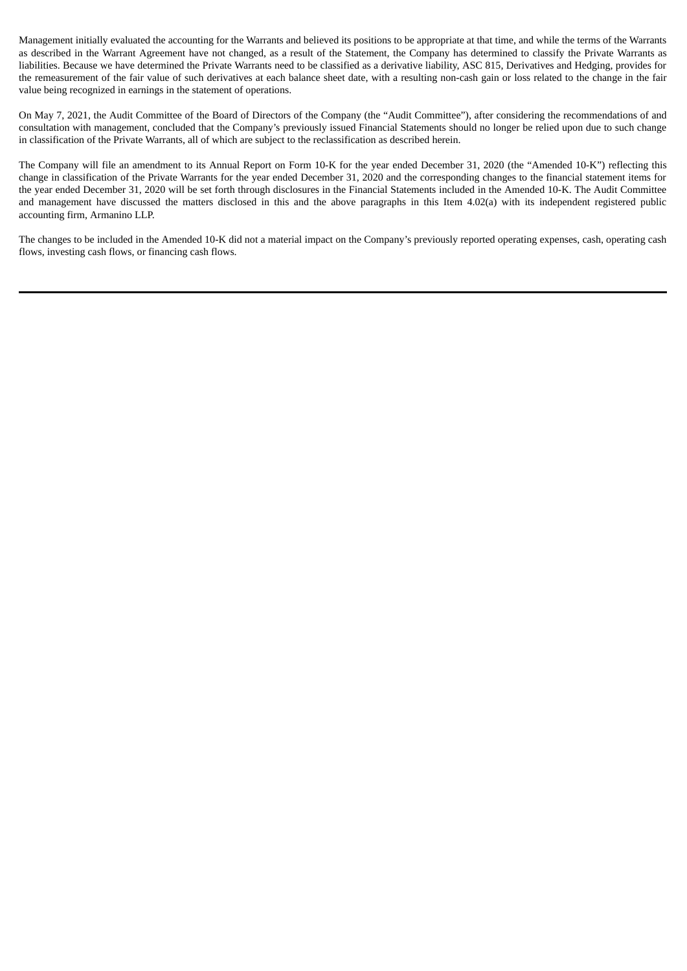Management initially evaluated the accounting for the Warrants and believed its positions to be appropriate at that time, and while the terms of the Warrants as described in the Warrant Agreement have not changed, as a result of the Statement, the Company has determined to classify the Private Warrants as liabilities. Because we have determined the Private Warrants need to be classified as a derivative liability, ASC 815, Derivatives and Hedging, provides for the remeasurement of the fair value of such derivatives at each balance sheet date, with a resulting non-cash gain or loss related to the change in the fair value being recognized in earnings in the statement of operations.

On May 7, 2021, the Audit Committee of the Board of Directors of the Company (the "Audit Committee"), after considering the recommendations of and consultation with management, concluded that the Company's previously issued Financial Statements should no longer be relied upon due to such change in classification of the Private Warrants, all of which are subject to the reclassification as described herein.

The Company will file an amendment to its Annual Report on Form 10-K for the year ended December 31, 2020 (the "Amended 10-K") reflecting this change in classification of the Private Warrants for the year ended December 31, 2020 and the corresponding changes to the financial statement items for the year ended December 31, 2020 will be set forth through disclosures in the Financial Statements included in the Amended 10-K. The Audit Committee and management have discussed the matters disclosed in this and the above paragraphs in this Item 4.02(a) with its independent registered public accounting firm, Armanino LLP.

The changes to be included in the Amended 10-K did not a material impact on the Company's previously reported operating expenses, cash, operating cash flows, investing cash flows, or financing cash flows.